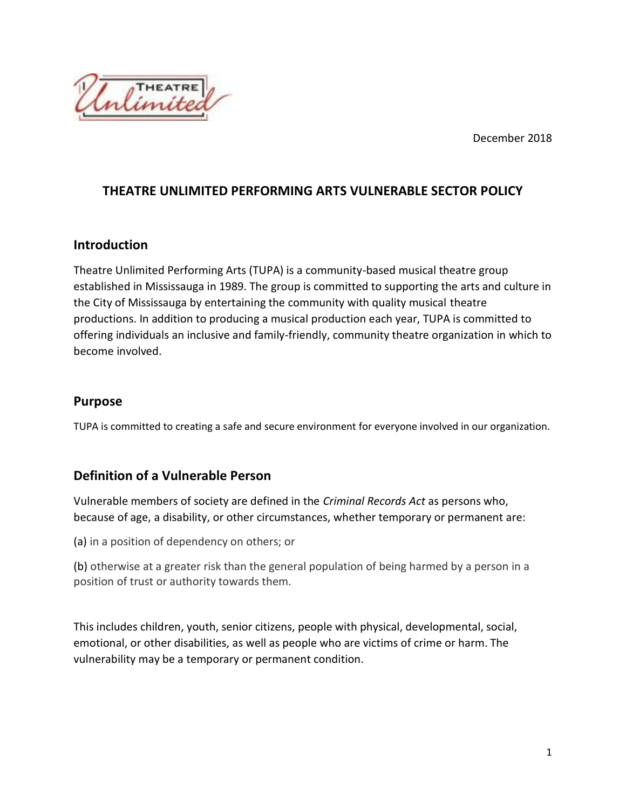December 2018



### **THEATRE UNLIMITED PERFORMING ARTS VULNERABLE SECTOR POLICY**

#### **Introduction**

Theatre Unlimited Performing Arts (TUPA) is a community-based musical theatre group established in Mississauga in 1989. The group is committed to supporting the arts and culture in the City of Mississauga by entertaining the community with quality musical theatre productions. In addition to producing a musical production each year, TUPA is committed to offering individuals an inclusive and family-friendly, community theatre organization in which to become involved.

### **Purpose**

TUPA is committed to creating a safe and secure environment for everyone involved in our organization.

## **Definition of a Vulnerable Person**

Vulnerable members of society are defined in the *Criminal Records Act* as persons who, because of age, a disability, or other circumstances, whether temporary or permanent are:

(a) in a position of dependency on others; or

(b) otherwise at a greater risk than the general population of being harmed by a person in a position of trust or authority towards them.

This includes children, youth, senior citizens, people with physical, developmental, social, emotional, or other disabilities, as well as people who are victims of crime or harm. The vulnerability may be a temporary or permanent condition.